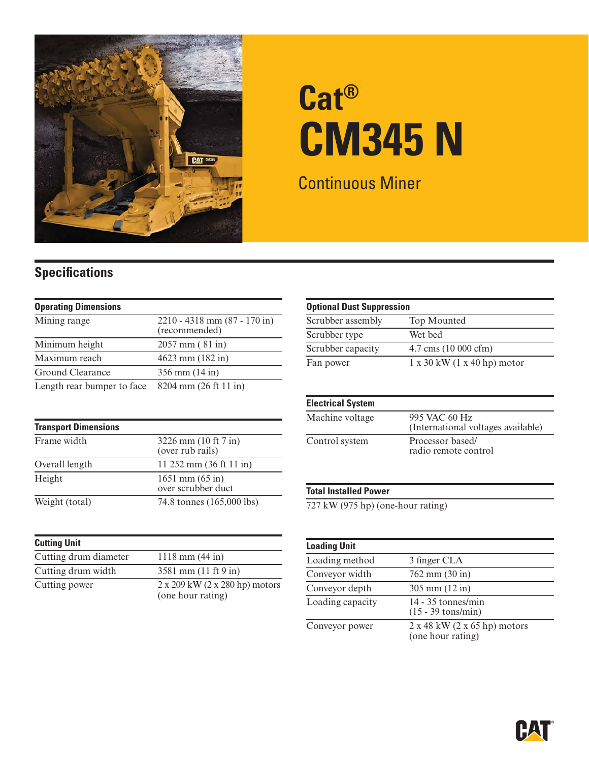

# **Cat® CM345 N**

Continuous Miner

### **Specifications**

| <b>Operating Dimensions</b> |                                                   |
|-----------------------------|---------------------------------------------------|
| Mining range                | $2210 - 4318$ mm $(87 - 170)$ in<br>(recommended) |
| Minimum height              | $2057$ mm $(81$ in)                               |
| Maximum reach               | $4623$ mm $(182$ in)                              |
| Ground Clearance            | $356$ mm $(14$ in)                                |
| Length rear bumper to face  | 8204 mm (26 ft 11 in)                             |

| <b>Transport Dimensions</b> |                                           |
|-----------------------------|-------------------------------------------|
| Frame width                 | 3226 mm (10 ft 7 in)<br>(over rub rails)  |
| Overall length              | 11 252 mm $(36 ft 11 in)$                 |
| Height                      | $1651$ mm $(65$ in)<br>over scrubber duct |
| Weight (total)              | 74.8 tonnes (165,000 lbs)                 |

| <b>Cutting Unit</b>   |                                                                   |
|-----------------------|-------------------------------------------------------------------|
| Cutting drum diameter | $1118$ mm $(44$ in)                                               |
| Cutting drum width    | 3581 mm (11 ft 9 in)                                              |
| Cutting power         | $2 \times 209$ kW $(2 \times 280$ hp) motors<br>(one hour rating) |

| <b>Optional Dust Suppression</b> |                                           |  |
|----------------------------------|-------------------------------------------|--|
| Scrubber assembly                | Top Mounted                               |  |
| Scrubber type                    | Wet bed                                   |  |
| Scrubber capacity                | $4.7 \text{ cms } (10\ 000 \text{ cfm})$  |  |
| Fan power                        | $1 \times 30$ kW $(1 \times 40$ hp) motor |  |

| <b>Electrical System</b> |                                                     |
|--------------------------|-----------------------------------------------------|
| Machine voltage          | 995 VAC 60 Hz<br>(International voltages available) |
| Control system           | Processor based/<br>radio remote control            |

#### **Total Installed Power**

727 kW (975 hp) (one-hour rating)

| <b>Loading Unit</b> |                                                                 |
|---------------------|-----------------------------------------------------------------|
| Loading method      | 3 finger CLA                                                    |
| Conveyor width      | $762$ mm $(30$ in)                                              |
| Conveyor depth      | $305 \text{ mm} (12 \text{ in})$                                |
| Loading capacity    | $14 - 35$ tonnes/min<br>$(15 - 39 \text{ tons/min})$            |
| Conveyor power      | $2 \times 48$ kW $(2 \times 65$ hp) motors<br>(one hour rating) |

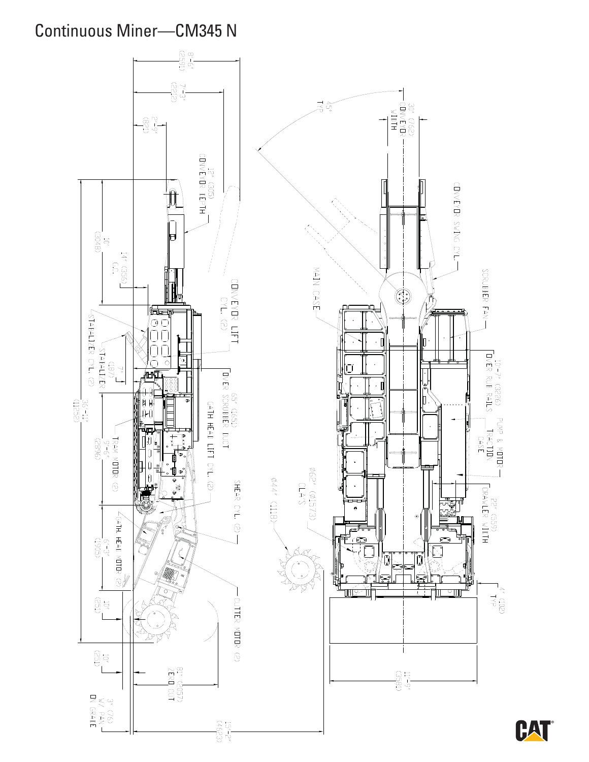## **Continuous Miner-CM345 N**

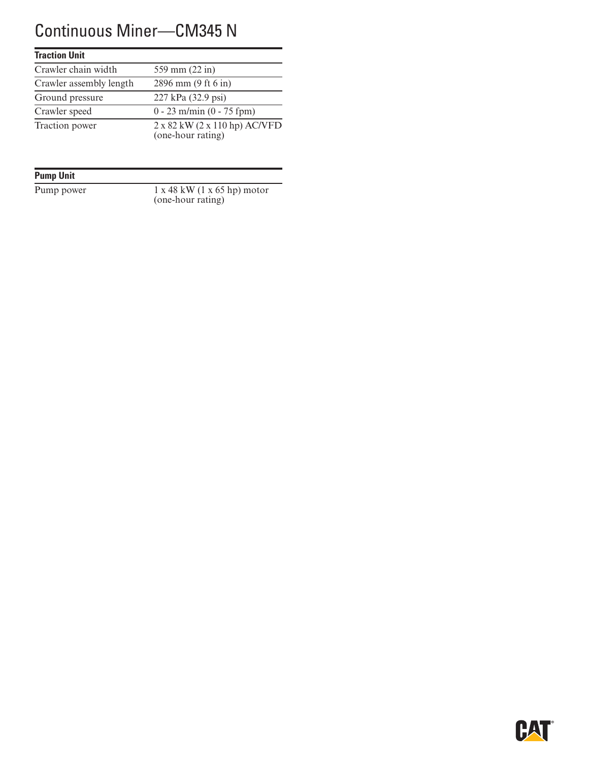## Continuous Miner—CM345 N

#### **Traction Unit**

| Crawler chain width     | 559 mm (22 in)                                     |
|-------------------------|----------------------------------------------------|
| Crawler assembly length | 2896 mm (9 ft 6 in)                                |
| Ground pressure         | 227 kPa (32.9 psi)                                 |
| Crawler speed           | $0 - 23$ m/min $(0 - 75$ fpm)                      |
| Traction power          | 2 x 82 kW (2 x 110 hp) AC/VFD<br>(one-hour rating) |

#### **Pump Unit**

Pump power 1 x 48 kW (1 x 65 hp) motor (one-hour rating)

![](_page_2_Picture_6.jpeg)